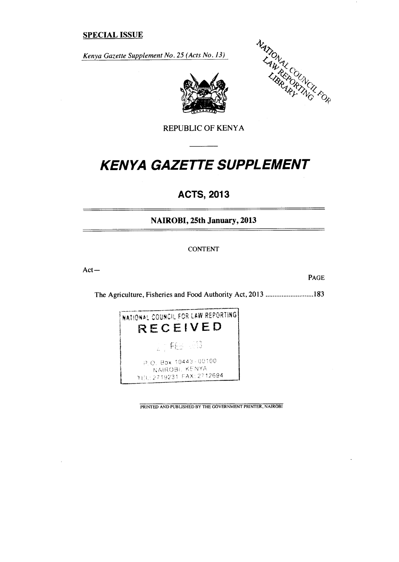# **SPECIAL ISSUE**

*Kenya Gazette Supplement No. 25 (Acts No. 13)* 





# *KENYA GAZETTE SUPPLEMENT*

# **ACTS, 2013**

**NAIROBI, 25th January, 2013** 

CONTENT

Act—

PAGE

The Agriculture, Fisheries and Food Authority Act, 2013 ..........................183



PRINTED AND PUBLISHED BY THE GOVERNMENT PRINTER, NAIROBI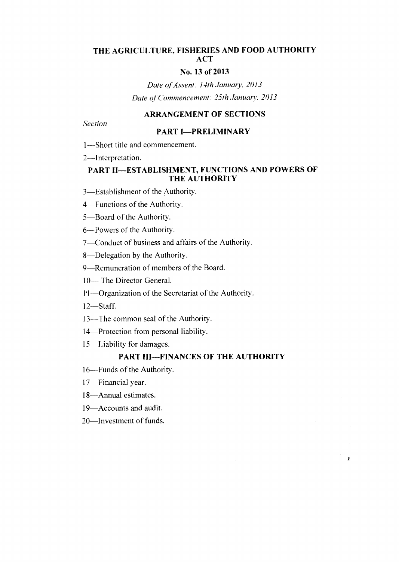# **THE AGRICULTURE, FISHERIES AND FOOD AUTHORITY ACT**

# **No. 13 of 2013**

*Date of Assent: 14th January. 2013 Date of Commencement: 25th January', 2013* 

# **ARRANGEMENT OF SECTIONS**

*Section* 

#### **PART I—PRELIMINARY**

1—Short title and commencement.

2—Interpretation.

# **PART II—ESTABLISHMENT, FUNCTIONS AND POWERS OF THE AUTHORITY**

3—Establishment of the Authority.

4—Functions of the Authority.

5—Board of the Authority.

6— Powers of the Authority.

7—Conduct of business and affairs of the Authority.

8—Delegation by the Authority.

9—Remuneration of members of the Board.

10— The Director General.

11—Organization of the Secretariat of the Authority.

12—Staff.

13—The common seal of the Authority.

14—Protection from personal liability.

15—Liability for damages.

# **PART III—FINANCES OF THE AUTHORITY**

 $\mathbf{I}$ 

16—Funds of the Authority.

17—Financial year.

18—Annual estimates.

19—Accounts and audit.

20—Investment of funds.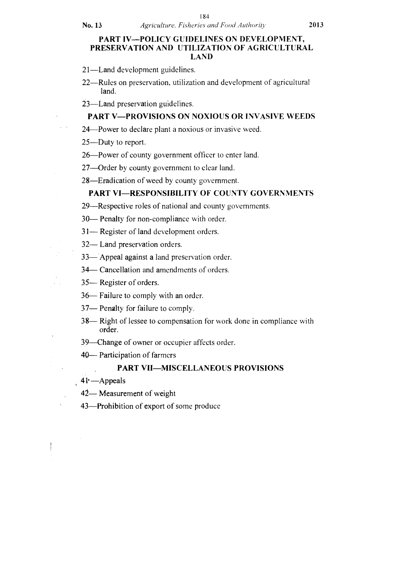### **PART IV—POLICY GUIDELINES ON DEVELOPMENT, PRESERVATION AND UTILIZATION OF AGRICULTURAL LAND**

21—Land development guidelines.

22—Rules on preservation, utilization and development of agricultural land.

23—Land preservation guidelines.

# **PART V—PROVISIONS ON NOXIOUS OR INVASIVE WEEDS**

24—Power to declare plant a noxious or invasive weed.

25—Duty to report.

26—Power of county government officer to enter land.

27—Order by county government to clear land.

28—Eradication of weed by county government.

# **PART VI—RESPONSIBILITY OF COUNTY GOVERNMENTS**

29—Respective roles of national and county governments.

30— Penalty for non-compliance with order.

31— Register of land development orders.

32— Land preservation orders.

33— Appeal against a land preservation order.

34— Cancellation and amendments of orders.

35— Register of orders.

36— Failure to comply with an order.

37— Penalty for failure to comply.

38— Right of lessee to compensation for work done in compliance with order.

39—Change of owner or occupier affects order.

**40—** Participation of farmers

# **PART VII—MISCELLANEOUS PROVISIONS**

**41•** —Appeals

42— Measurement of weight

43—Prohibition of export of some produce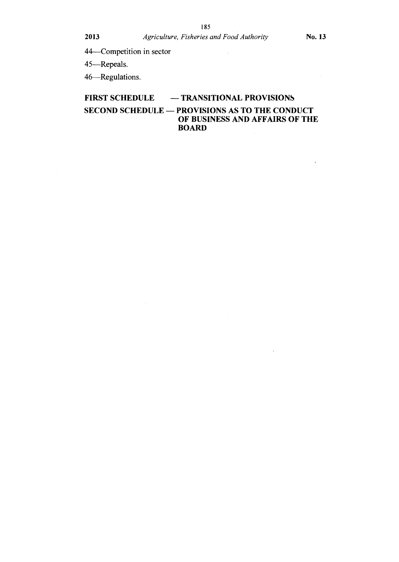44—Competition in sector

45—Repeals.

46—Regulations.

# **FIRST SCHEDULE — TRANSITIONAL PROVISIONS**

# **SECOND SCHEDULE — PROVISIONS AS TO THE CONDUCT OF BUSINESS AND AFFAIRS OF THE BOARD**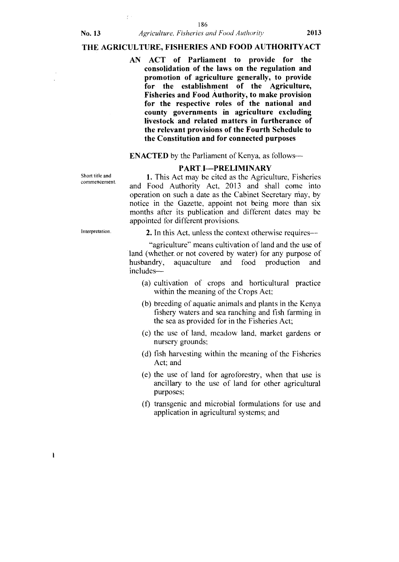### No. **13** *Agriculture, Fisheries and Food Authority* **2013**

# **THE AGRICULTURE, FISHERIES AND FOOD AUTHORITYACT**

**AN ACT of Parliament to provide for the consolidation of the laws on the regulation and promotion of agriculture generally, to provide for the establishment of the Agriculture, Fisheries and Food Authority, to make provision for the respective roles of the national and county governments in agriculture excluding livestock and related matters in furtherance of the relevant provisions of the Fourth Schedule to the Constitution and for connected purposes** 

# **ENACTED** by the Parliament of Kenya, as follows—

# **PART, I—PRELIMINARY**

Short title and commencement.

1. This Act may be cited as the Agriculture, Fisheries and Food Authority Act, 2013 and shall come into operation on such a date as the Cabinet Secretary may, by notice in the Gazette, appoint not being more than six months after its publication and different dates may be appointed for different provisions.

Interpretation.

 $\mathbf{I}$ 

# 2. In this Act, unless the context otherwise requires--

"agriculture" means cultivation of land and the use of land (whether. or not covered by water) for any purpose of husbandry, aquaculture and food production and includes—

- (a) cultivation of crops and horticultural practice within the meaning of the Crops Act;
- (b) breeding of aquatic animals and plants in the Kenya fishery waters and sea ranching and fish farming in the sea as provided for in the Fisheries Act;
- (c) the use of land, meadow land, market gardens or nursery grounds:
- (d) fish harvesting within the meaning of the Fisheries Act; and
- (e) the use of land for agroforestry, when that use is ancillary to the use of land for other agricultural purposes;
- (f) transgenic and microbial formulations for use and application in agricultural systems; and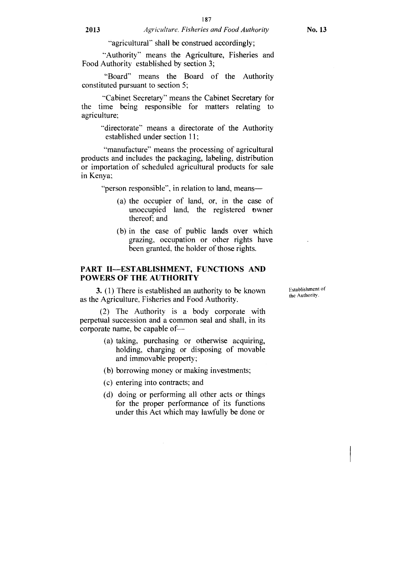"agricultural" shall be construed accordingly;

"Authority" means the Agriculture, Fisheries and Food Authority established by section 3;

"Board" means the Board of the Authority constituted pursuant to section 5;

-Cabinet Secretary" means the Cabinet Secretary for the time being responsible for matters relating to agriculture;

"directorate" means a directorate of the Authority established under section 11;

"manufacture" means the processing of agricultural products and includes the packaging, labeling, distribution or importation of scheduled agricultural products for sale in Kenya;

"person responsible", in relation to land, means—

- (a) the occupier of land, or, in the case of unoccupied land, the registered owner thereof; and
- (b) in the case of public lands over which grazing, occupation or other rights have been granted, the holder of those rights.

#### **PART II—ESTABLISHMENT, FUNCTIONS AND POWERS OF THE AUTHORITY**

**3.** (1) There is established an authority to be known as the Agriculture, Fisheries and Food Authority.

(2) The Authority is a body corporate with perpetual succession and a common seal and shall, in its corporate name, be capable of—

- (a) taking, purchasing or otherwise acquiring, holding, charging or disposing of movable and immovable property;
- (b) borrowing money or making investments;
- (c) entering into contracts; and
- (d) doing or performing all other acts or things for the proper performance of its functions under this Act which may lawfully be done or

Establishment of the Authority.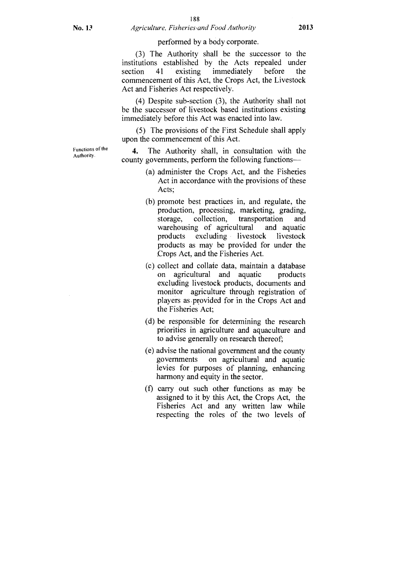#### 188 No. 1:1 *Agriculture, Fisheries•and Food Authority* **2013**

#### performed by a body corporate.

(3) The Authority shall be the successor to the institutions established by the Acts repealed under section 41 existing immediately before the commencement of this Act, the Crops Act, the Livestock Act and Fisheries Act respectively.

(4) Despite sub-section (3), the Authority shall not be the successor of livestock based institutions existing immediately before this Act was enacted into law.

(5) The provisions of the First Schedule shall apply upon the commencement of this Act.

4. The Authority shall, in consultation with the county governments, perform the following functions—

- (a) administer the Crops Act, and the Fisheries Act in accordance with the provisions of these Acts;
- (b) promote best practices in, and regulate, the production, processing, marketing, grading, storage, collection, transportation and warehousing of agricultural and aquatic products excluding livestock livestock products as may be provided for under the Crops Act, and the Fisheries Act.
- (c) collect and collate data, maintain a database on agricultural and aquatic products excluding livestock products, documents and monitor agriculture through registration of players as provided for in the Crops Act and the Fisheries Act;
- (d) be responsible for determining the research priorities in agriculture and aquaculture and to advise generally on research thereof;
- (e) advise the national government and the county governments on agricultural and aquatic levies for purposes of planning, enhancing harmony and equity in the sector.
- (f) carry out such other functions as may be assigned to it by this Act, the Crops Act, the Fisheries Act and any written law while respecting the roles of the two levels of

Functions of the Authority.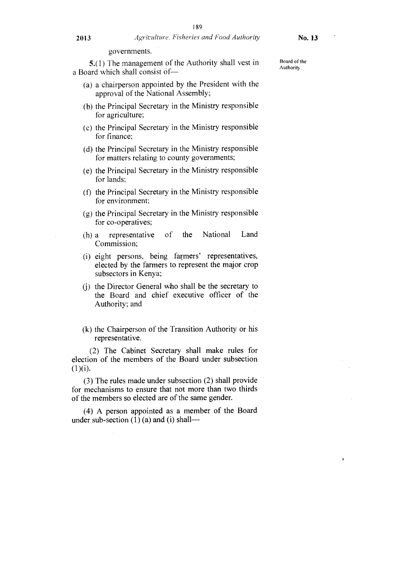governments.

5.(1) The management of the Authority shall vest in a Board which shall consist of—

- (a) a chairperson appointed by the President with the approval of the National Assembly;
- (b) the Principal Secretary in the Ministry responsible for agriculture;
- (c) the Principal Secretary in the Ministry responsible for finance;
- (d) the Principal Secretary in the Ministry responsible for matters relating to county governments;
- (e) the Principal Secretary in the Ministry responsible for lands;
- (f) the Principal Secretary in the Ministry responsible for environment;
- (g) the Principal Secretary in the Ministry responsible for co-operatives;
- (h) a representative of the National Land Commission;
- (i) eight persons, being farmers' representatives, elected by the farmers to represent the major crop subsectors in Kenya;
- (j) the Director General who shall be the secretary to the Board and chief executive officer of the Authority; and
- (k) the Chairperson of the Transition Authority or his representative.

(2) The Cabinet Secretary shall make rules for election of the members of the Board under subsection  $(1)(i).$ 

(3) The rules made under subsection (2) shall provide for mechanisms to ensure that not more than two thirds of the members so elected are of the same gender.

(4) A person appointed as a member of the Board under sub-section  $(1)$  (a) and (i) shallBoard of the Authority.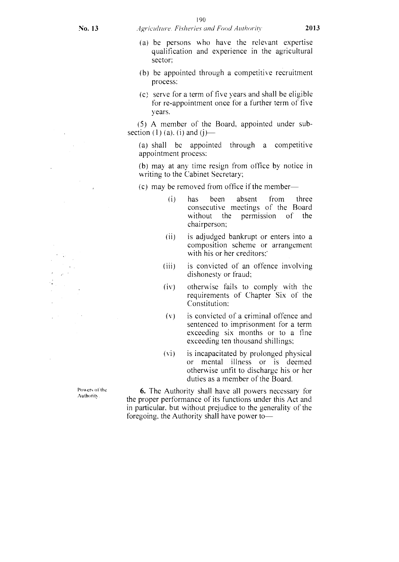#### No. 13 *Agriculture. Fisheries and Food Authoritv* 2013

- 
- (a) be persons who have the relevant expertise qualification and experience in the agricultural sector:
- (b) be appointed through a competitive recruitment process:
- (c) serve for a term of five years and shall be eligible for re-appointment once for a further term of five years.

(5) A member of the Board. appointed under subsection (1) (a). (i) and (j)—

(a) shall be appointed through a competitive appointment process:

(b) may at any time resign from office by notice in writing to the Cabinet Secretary;

- (c) may be removed from office if the member—
	- (i) has been absent from three consecutive meetings of the Board without the permission of the chairperson;
	- (ii) is adjudged bankrupt or enters into a composition scheme or arrangement with his or her creditors:
	- (iii) is convicted of an offence involving dishonesty or fraud;
	- (iv) otherwise fails to comply with the requirements of Chapter Six of the Constitution:
	- (v) is convicted of a criminal offence and sentenced to imprisonment for a term exceeding six months or to a fine exceeding ten thousand shillings;
	- (vi) is incapacitated by prolonged physical or mental illness or is deemed otherwise unfit to discharge his or her duties as a member of the Board.

Powers of the Authority.

6. The Authority shall have all powers necessary for the proper performance of its functions under this Act and in particular. but without prejudice to the generality of the foregoing. the Authority shall have power to—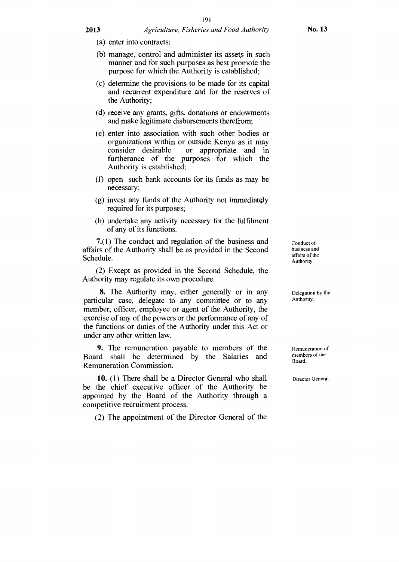- (a) enter into contracts;
- (b) manage, control and administer its assets in such manner and for such purposes as best promote the purpose for which the Authority is established;
- (c) determine the provisions to be made for its capital and recurrent expenditure and for the reserves of the Authority;
- (d) receive any grants, gifts, donations or endowments and make legitimate disbursements therefrom;
- (e) enter into association with such other bodies or organizations within or outside Kenya as it may consider desirable or appropriate and in furtherance of the purposes for which the Authority is established;
- (f) open such bank accounts for its funds as may be necessary;
- (g) invest any funds of the Authority not immediatQly required for its purposes;
- (h) undertake any activity necessary for the fulfilment of any of its functions.

7.(1) The conduct and regulation of the business and affairs of the Authority shall be as provided in the Second Schedule.

(2) Except as provided in the Second Schedule, the Authority may regulate its own procedure.

8. The Authority may, either generally or in any particular case, delegate to any committee or to any member, officer, employee or agent of the Authority, the exercise of any of the powers or the performance of any of the functions or duties of the Authority under this Act or under any other written law.

9. The remuneration payable to members of the Board shall be determined by the Salaries and Remuneration Commission.

10. (1) There shall be a Director General who shall be the chief executive officer of the Authority be appointed by the Board of the Authority through a competitive recruitment process.

(2) The appointment of the Director General of the

Conduct of business and affairs of the Authority.

Delegation by the Authority.

Remuneration of members of the Board.

Director General.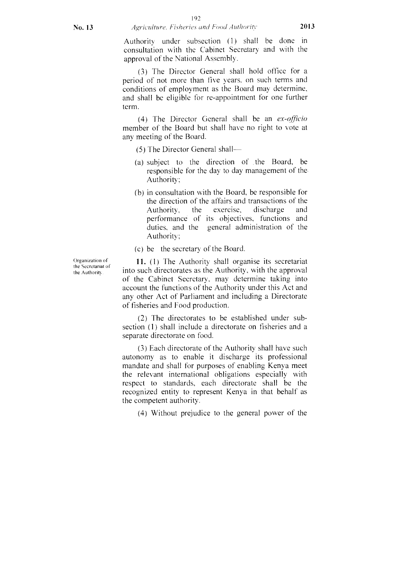Authority under subsection (1) shall be done in consultation with the Cabinet Secretary and with the approval of the National Assembly.

(3) The Director General shall hold office for a period of not more than five years. on such terms and conditions of employment as the Board may determine, and shall be eligible for re-appointment for one further term.

(4) The Director General shall be an *ex-officio*  member of the Board but shall have no right to vote at any meeting of the Board.

(5) The Director General shall

- (a) subject to the direction of the Board, be responsible for the day to day management of the. Authority;
- (b) in consultation with the Board, be responsible for the direction of the affairs and transactions of the Authority, the exercise, discharge and performance of its objectives, functions and duties, and the general administration of the Authority;
- (c) be the secretary of the Board.

11. (1) The Authority shall organise its secretariat into such directorates as the Authority, with the approval of the Cabinet Secretary. may determine taking into account the functions of the Authority under this Act and any other Act of Parliament and including a Directorate of fisheries and Food production.

(2) The directorates to be established under subsection (1) shall include a directorate on fisheries and a separate directorate on food.

(3) Each directorate of the Authority shall have such autonomy as to enable it discharge its professional mandate and shall for purposes of enabling Kenya meet the relevant international obligations especially with respect to standards, each directorate shall be the recognized entity to represent Kenya in that behalf as the competent authority.

(4) Without prejudice to the general power of the

Organization of the Secretariat of the Authority.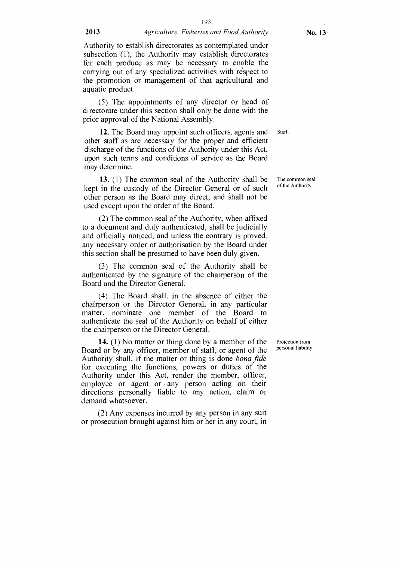193

(5) The appointments of any director or head of directorate under this section shall only be done with the prior approval of the National Assembly.

**12.** The Board may appoint such officers, agents and other staff as are necessary for the proper and efficient discharge of the functions of the Authority under this Act, upon such terms and conditions of service as the Board may determine. Staff.

**13.** (1) The common seal of the Authority shall be kept in the custody of the Director General or of such other person as the Board may direct, and shall not be used except upon the order of the Board.

(2) The common seal of the Authority, when affixed to a document and duly authenticated, shall be judicially and officially noticed, and unless the contrary is proved, any necessary order or authorisation by the Board under this section shall be presumed to have been duly given.

(3) The common seal of the Authority shall be authenticated by the signature of the chairperson of the Board and the Director General.

(4) The Board shall, in the absence of either the chairperson or the Director General, in any particular matter, nominate one member of the Board to authenticate the seal of the Authority on behalf of either the chairperson or the Director General.

**14.** (1) No matter or thing done by a member of the Board or by any officer, member of staff, or agent of the Authority shall, if the matter or thing is done *bona fide*  for executing the functions, powers or duties of the Authority under this Act, render the member, officer, employee or agent or any person acting on their directions personally liable to any action, claim or demand whatsoever.

(2) Any expenses incurred by any person in any suit or prosecution brought against him or her in any court, in Protection from personal liability.

The common seal of the Authority.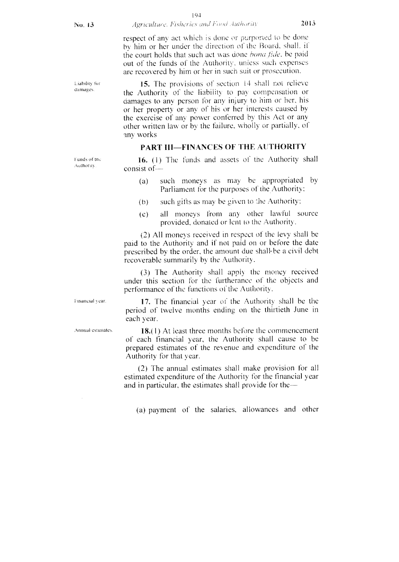respect of any act which is done or purported to be done by him or her under the direction of the Board, shall. if the court holds that such act was done *bona tide.* he paid out of the funds of the Authority, unless such expenses are recovered by him or her in such suit or prosecution.

Liability for  $\frac{15}{2}$ . The provisions of section  $\frac{14}{2}$  shall not relieve damages. the Authority of the liability to pay compensation or damages to any person for any injury to him or her, his or her property or any of his or her interests caused by the exercise of any power conferred by this Act or any other written law or by the failure, wholly or partially, of any works

#### PART III—FINANCES OF THE AUTHORITY

Funds of the  $16. (1)$  The funds and assets of the Authority shall Authority. consist of- $-$ 

- (a) such moneys as may be appropriated by Parliament for the purposes of the Authority:
- $(b)$  such gifts as may be given to the Authority:
- (c) all moneys from any other lawful source provided, donated or lent to the Authority:.

(2) All moneys received in respect of the levy shall be paid to the Authority and if not paid on or before the date prescribed by the order, the amount due shall be a civil debt recoverable summarily by the Authority.

(3) The Authority shall apply the money received under this section for the furtherance of the objects and performance of the functions of the Authority.

 $F$ <sup>17</sup>. The financial year of the Authority shall be the period of twelve months ending on the thirtieth June in each year.

Annual estimates.  $18(1)$  At least three months before the commencement of each financial year, the Authority shall cause to be prepared estimates of the revenue and expenditure of the Authority for that year.

> (2) The annual estimates shall make provision for all estimated expenditure of the Authority for the financial year and in particular, the estimates shall provide for the—

(a) payment of the salaries, allowances and other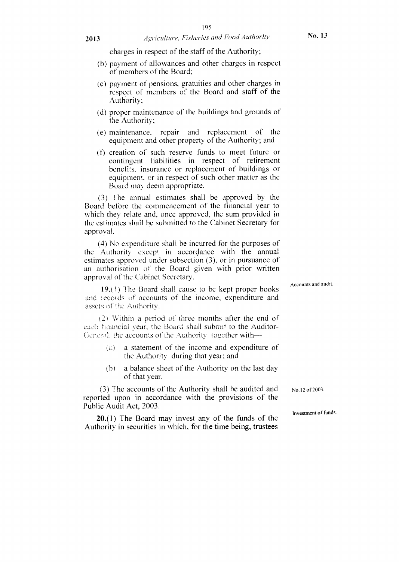charges in respect of the staff of the Authority;

- (b) payment of allowances and other charges in respect of members of the Board;
- (c) payment of pensions, gratuities and other charges in respect of members of the Board and staff of the Authority;
- (d) proper maintenance of the buildings and grounds of the Authority;
- (e) maintenance, repair and replacement of the equipment and other property of the Authority; and
- (f) creation of such reserve funds to meet future or contingent liabilities in respect of retirement benefits, insurance or replacement of buildings or equipment, or in respect of such other matter as the Board may deem appropriate.

(3) The annual estimates shall be approved by the Board before the commencement of the financial year to which they relate and, once approved, the sum provided in the estimates shall be submitted to the Cabinet Secretary for approval.

(4) No expenditure shall he incurred for the purposes of the Authority except in accordance with the annual estimates approved under subsection (3), or in pursuance of an authorisation of the Board given with prior written approval of the Cabinet Secretary.

 $19.(1)$  The Board shall cause to be kept proper books and records of accounts of the income, expenditure and assets of the Authority.

 $(2)$  Within a period of three months after the end of each financial year, the Board shall submit to the Auditor-General, the accounts of the Authority together with $-$ 

- $(a)$  a statement of the income and expenditure of the Authority during that year; and
- h) a balance sheet of the Authority on the last day of that year.

(3) The accounts of the Authority shall be audited and reported upon in accordance with the provisions of the Public Audit Act, 2003.

20.(1) The Board may invest any of the funds of the Authority in securities in which, for the time being, trustees

No. l2 of 2003.

investment of funds.

Accounts and audit.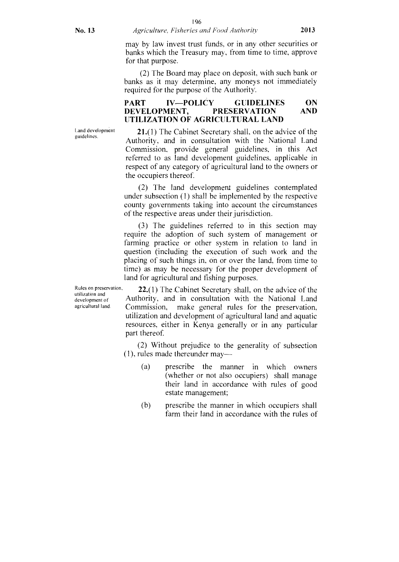may by law invest trust funds, or in any other securities or banks which the Treasury may, from time to time, approve for that purpose.

(2) The Board may place on deposit, with such bank or banks as it may determine, any moneys not immediately required for the purpose of the Authority.

### PART IV—POLICY GUIDELINES ON<br>DEVELOPMENT, PRESERVATION AND DEVELOPMENT, UTILIZATION OF AGRICULTURAL LAND

Land development guidelines.

21.(1) The Cabinet Secretary shall, on the advice of the Authority, and in consultation with the National Land Commission, provide general guidelines, in this Act referred to as land development guidelines, applicable in respect of any category of agricultural land to the owners or the occupiers thereof.

(2) The land development guidelines contemplated under subsection (1) shall be implemented by the respective county governments taking into account the circumstances of the respective areas under their jurisdiction.

(3) The guidelines referred to in this section may require the adoption of such system of management or farming practice or other system in relation to land in question (including the execution of such work and the placing of such things in, on or over the land, from time to time) as may be necessary for the proper development of land for agricultural and fishing purposes.

Rules on preservation,  $22.(1)$  The Cabinet Secretary shall, on the advice of the development of Authority, and in consultation with the National Land development of Authority, and in consultation with the negervation Commission, make general rules for the preservation, utilization and development of agricultural land and aquatic resources, either in Kenya generally or in any particular part thereof

> (2) Without prejudice to the generality of subsection (1), rules made thereunder may—

- (a) prescribe the manner in which owners (whether or not also occupiers) shall manage their land in accordance with rules of good estate management;
- (b) prescribe the manner in which occupiers shall farm their land in accordance with the rules of

utilization and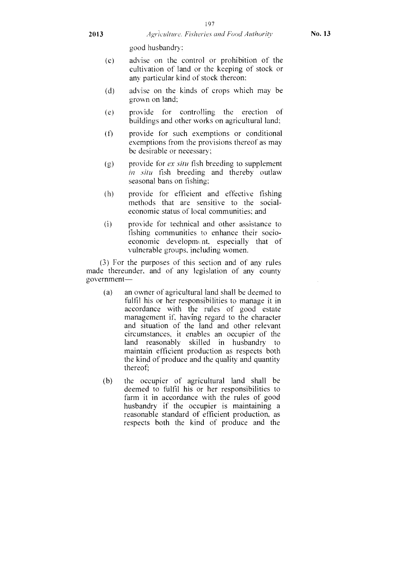good husbandry:

- (c) advise on the control or prohibition of the cultivation of land or the keeping of stock or any particular kind of stock thereon;
- (d) advise on the kinds of crops which may be grown on land;
- (e) provide for controlling the erection of buildings and other works on agricultural land;
- (f) provide for such exemptions or conditional exemptions from the provisions thereof as may be desirable or necessary;
- (g) provide for *ex situ* fish breeding to supplement in situ fish breeding and thereby outlaw seasonal bans on fishing;
- (h) provide for efficient and effective fishing methods that are sensitive to the socialeconomic status of local communities; and
- (i) provide for technical and other assistance to fishing communities to enhance their socioeconomic development, especially that of vulnerable groups. including women.

(3) For the purposes of this section and of any rules made thereunder. and of any legislation of any county government—

- (a) an owner of agricultural land shall be deemed to fulfil his or her responsibilities to manage it in accordance with the rules of good estate management if, having regard to the character and situation of the land and other relevant circumstances, it enables an occupier of the land reasonably skilled in husbandry to maintain efficient production as respects both the kind of produce and the quality and quantity thereof;
- (b) the occupier of agricultural land shall be deemed to fulfil his or her responsibilities to farm it in accordance with the rules of good husbandry if the occupier is maintaining a reasonable standard of efficient production, as respects both the kind of produce and the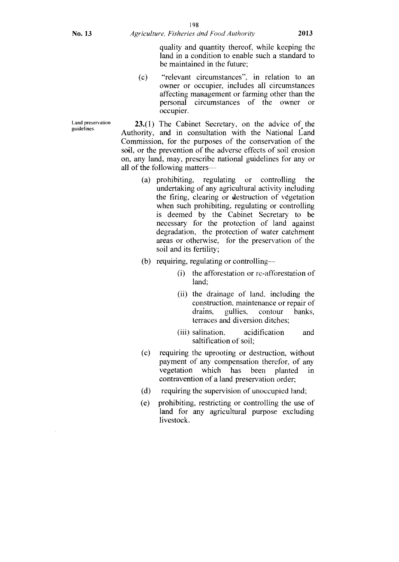quality and quantity thereof, while keeping the land in a condition to enable such a standard to be maintained in the future;

(c) "relevant circumstances", in relation to an owner or occupier, includes all circumstances affecting management or farming other than the personal circumstances of the owner or occupier.

 $23(1)$  The Cabinet Secretary, on the advice of the Authority, and in consultation with the National Land Commission, for the purposes of the conservation of the soil, or the prevention of the adverse effects of soil erosion on, any land, may, prescribe national guidelines for any or all of the following matters--

- (a) prohibiting, regulating or controlling the undertaking of any agricultural activity including the firing, clearing or destruction of vegetation when such prohibiting, regulating or controlling is deemed by the Cabinet Secretary to be necessary for the protection of land against degradation, the protection of water catchment areas or otherwise, for the preservation of the soil and its fertility;
- (b) requiring, regulating or controlling--
	- (i) the afforestation or re-afforestation of land;
	- (ii) the drainage of land, including the construction, maintenance or repair of drains, gullies, contour banks, terraces and diversion ditches;
	- (iii) salination, acidification and saltification of soil;
- (c) requiring the uprooting or destruction, without payment of any compensation therefor, of any vegetation which has been planted in contravention of a land preservation order;
- (d) requiring the supervision of unoccupied land;
- (e) prohibiting, restricting or controlling the use of land for any agricultural purpose excluding livestock.

Land preservation guidelines.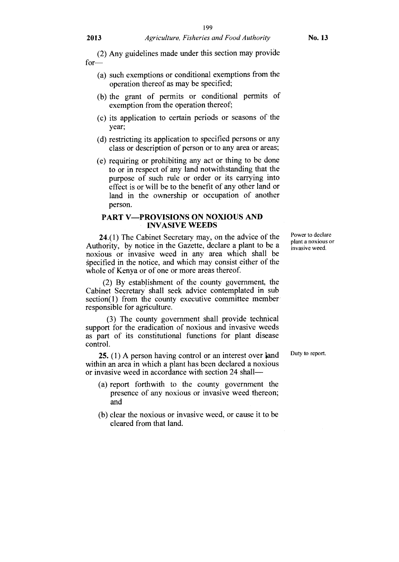#### **2013** *Agriculture, Fisheries and Food Authority* **No. 13**

(2) Any guidelines made under this section may provide for—

- (a) such exemptions or conditional exemptions from the operation thereof as may be specified;
- (b) the grant of permits or conditional permits of exemption from the operation thereof;
- (c) its application to certain periods or seasons of the year;
- (d) restricting its application to specified persons or any class or description of person or to any area or areas;
- (e) requiring or prohibiting any act or thing to be done to or in respect of any land notwithstanding that the purpose of such rule or order or its carrying into effect is or Will be to the benefit of any other land or land in the ownership or occupation of another person.

#### **PART V—PROVISIONS ON NOXIOUS AND INVASIVE WEEDS**

**24.(1)** The Cabinet Secretary may, on the advice of the Authority, by notice in the Gazette, declare a plant to be a noxious or invasive weed in any area which shall be specified in the notice, and which may consist either of the whole of Kenya or of one or more areas thereof.

(2) By establishment of the county government, the Cabinet Secretary shall seek advice contemplated in sub section(1) from the county executive committee member responsible for agriculture.

(3) The county government shall provide technical support for the eradication of noxious and invasive weeds as part of its constitutional functions for plant disease control.

**25.** (1) A person having control or an interest over land within an area in which a plant has been declared a noxious or invasive weed in accordance with section 24 shall—

- (a) report forthwith to the county government the presence of any noxious or invasive weed thereon; and
- (b) clear the noxious or invasive weed, or cause it to be cleared from that land.

Power to declare plant a noxious or invasive weed.

Duty to report.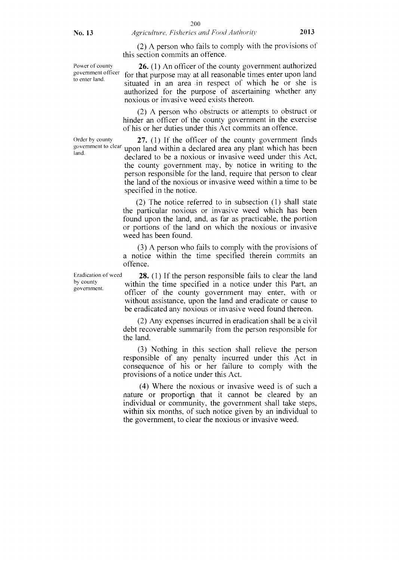(2) A person who fails to comply with the provisions of this section commits an offence.

Power of county government officer to enter land.

26. (1) An officer of the county government authorized for that purpose may at all reasonable times enter upon land situated in an area in respect of which he or she is authorized for the purpose of ascertaining whether any noxious or invasive weed exists thereon.

(2) A person who obstructs or attempts to obstruct or hinder an officer of the county government in the exercise of his or her duties under this Act commits an offence.

Order by county 27. (1) If the officer of the county government finds government to clear upon land within a declared area any plant which has been government to clear upon land within a declared area any plant which has been land.<br>declared to be a noxious or invasive weed under this Act, the county government may, by notice in writing to the person responsible for the land, require that person to clear the land of the noxious or invasive weed within a time to be specified in the notice.

> (2) The notice referred to in subsection (1) shall state the particular noxious or invasive weed which has been found upon the land, and, as far as practicable, the portion or portions of the land on which the noxious or invasive weed has been found.

> (3) A person who fails to comply with the provisions of a notice within the time specified therein commits an offence.

Eradication of weed **28.** (1) If the person responsible fails to clear the land<br>by county by county<br>government. Within the time specified in a notice under this Part, an officer of the county government may enter, with or without assistance, upon the land and eradicate or cause to be eradicated any noxious or invasive weed found thereon.

> (2) Any expenses incurred in eradication shall be a civil debt recoverable summarily from the person responsible for the land.

> (3) Nothing in this section shall relieve the person responsible of any penalty incurred under this Act in consequence of his or her failure to comply with the provisions of a notice under this Act.

> (4) Where the noxious or invasive weed is of such a nature or proportion that it cannot be cleared by an individual or community, the government shall take steps, within six months, of such notice given by an individual to the government, to clear the noxious or invasive weed.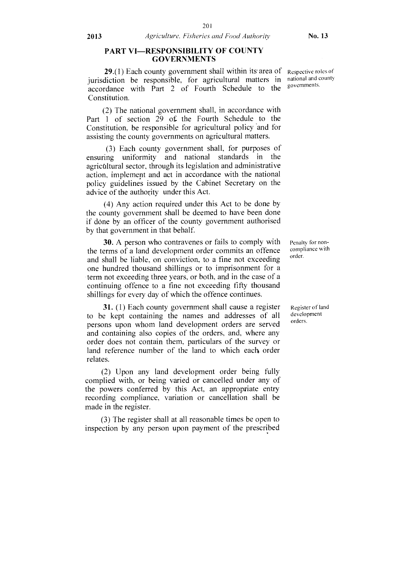#### PART VI—RESPONSIBILITY OF COUNTY GOVERNMENTS

29.(1) Each county government shall within its area of jurisdiction be responsible, for agricultural matters in accordance with Part 2 of Fourth Schedule to the Constitution.

(2) The national government shall, in accordance with Part 1 of section 29 of the Fourth Schedule to the Constitution, be responsible for agricultural policy and for assisting the county governments on agricultural matters.

(3) Each county government shall, for purposes of ensuring uniformity and national standards in the agrictiltural sector, through its legislation and administrative action, implement and act in accordance with the national policy guidelines issued by the Cabinet Secretary on the advice of the authority under this Act.

(4) Any action required under this Act to be done by the county government shall be deemed to have been done if done by an officer of the county government authorised by that government in that behalf.

30. A person who contravenes or fails to comply with the terms of a land development order commits an offence and shall be liable, on conviction, to a fine not exceeding one hundred thousand shillings or to imprisonment for a term not exceeding three years, or both, and in the case of a continuing offence to a fine not exceeding fifty thousand shillings for every day of which the offence continues.

31. (1) Each county government shall cause a register to be kept containing the names and addresses of all persons upon whom land development orders are served and containing also copies of the orders, and, where any order does not contain them, particulars of the survey or land reference number of the land to which each order relates.

(2) Upon any land development order being fully complied with, or being varied or cancelled under any of the powers conferred by this Act, an appropriate entry recording compliance, variation or cancellation shall be made in the register.

(3) The register shall at all reasonable times be open to inspection by any person upon payment of the prescribed

Respective roles of national and county governments.

Penalty for noncompliance with order.

Register of land development orders.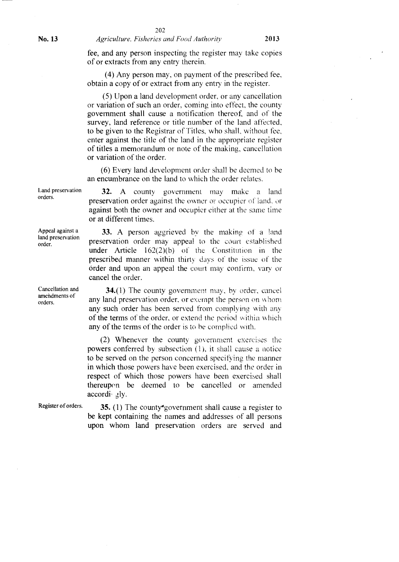fee, and any person inspecting the register may take copies of or extracts from any entry therein.

(4) Any person may, on payment of the prescribed fee, obtain a copy of or extract from any entry in the register.

(5) Upon a land development order, or any cancellation or variation of such an order, coming into effect, the county government shall cause a notification thereof, and of the survey, land reference or title number of the land affected, to be given to the Registrar of Titles, who shall, without fee, enter against the title of the land in the appropriate register of titles a memorandum or note of the making, cancellation or variation of the order.

(6) Every land development order shall be deemed to be an encumbrance on the land to which the order relates.

32. A county government may make a land preservation order against the owner or occupier of land, or against both the owner and occupier either at the same time or at different times.

33. A person aggrieved by the making of a land preservation order may appeal to the court established under Article 162(2)(b) of the Constitution in the prescribed manner within thirty days of the issue of the order and upon an appeal the court may confirm, vary or cancel the order.

34.(1) The county government may, by order, cancel any land preservation order, or exempt the person on whom any such order has been served from complying with any of the terms of the order, or extend the period within which any of the terms of the order is to be complied with.

(2) Whenever the county government exercises the powers conferred by subsection (1), it shall cause a notice to be served on the person concerned specifying the manner in which those powers have been exercised, and the order in respect of which those powers have been exercised shall thereupon be deemed to be cancelled or amended  $accordi$   $gly.$ 

Register of orders.  $35. (1)$  The county<sup>\*</sup>government shall cause a register to be kept containing the names and addresses of all persons upon whom land preservation orders are served and

Land preservation orders.

Appeal against a land preservation order.

Cancellation and amendments of orders.

**No. 13** *Agriculture, Fisheries and Food Authority* 2013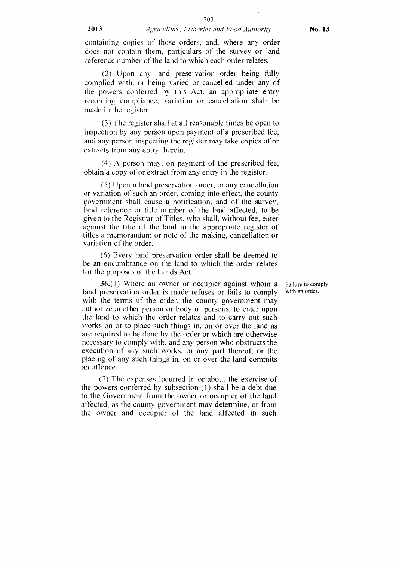#### 2013 *Agriculture, Fisheries and Food Authority* No. **13**

containing copies of those orders, and, where any order does not contain them, particulars of the survey or land reference number of the land to which each order relates.

(2) Upon any land preservation order being fully complied with, or being varied or cancelled under any of the powers conferred by this Act, an appropriate entry recording compliance, variation or cancellation shall be made in the register.

(3) The register shall at all reasonable times be open to inspection by any person upon payment of a prescribed fee, and any person inspecting the register may take copies of or extracts from any entry therein.

(4) A person may. on payment of the prescribed fee, obtain a copy of or extract from any entry in the register.

(5) Upon a land preservation order, or any cancellation or variation of such an order, coming into effect, the county government shall cause a notification, and of the survey, land reference or title number of the land affected, to be given to the Registrar of Titles, who shall, without fee, enter against the title of the land in the appropriate register of titles a memorandum or note of the making, cancellation or variation of the order.

(6) Every land preservation order shall be deemed to be an encumbrance on the land to which the order relates for the purposes of the Lands Act.

36.(1) Where an owner or occupier against whom a Failure to comply preservation order is made refuses or fails to comply with an order. land preservation order is made refuses or fails to comply with the terms of the order, the county government may authorize another person or body of persons, to enter upon the land to which the order relates and to carry out such works on or to place such things in, on or over the land as are required to be done by the order or which are otherwise necessary to comply with, and any person who obstructs the execution of any such works, or any part thereof, or the placing of any such things in, on or over the land commits an offence.

(2) The expenses incurred in or about the exercise of the powers conferred by subsection (1) shall be a debt due to the Government from the owner or occupier of the land affected, as the county government may determine, or from the owner and occupier of the land affected in such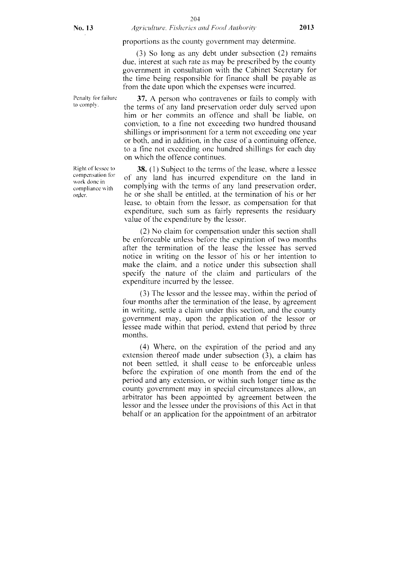#### 204 No. 13 *Agriculture, Fisheries and Food Authority* 2013

proportions as the county government may determine.

(3) So long as any debt under subsection (2) remains due, interest at such rate as may be prescribed by the county government in consultation with the Cabinet Secretary for the time being responsible for finance shall be payable as from the date upon which the expenses were incurred.

Penalty for failure to comply.

Right of lessee to compensation for work done in compliance with order.

37. A person who contravenes or fails to comply with the terms of any land preservation order duly served upon him or her commits an offence and shall be liable, on conviction, to a fine not exceeding two hundred thousand shillings or imprisonment for a term not exceeding one year or both, and in addition, in the case of a continuing offence, to a fine not exceeding one hundred shillings for each day on which the offence continues.

38. (1) Subject to the terms of the lease, where a lessee of any land has incurred expenditure on the land in complying with the terms of any land preservation order, he or she shall be entitled, at the termination of his or her lease, to obtain from the lessor, as compensation for that expenditure, such sum as fairly represents the residuary value of the expenditure by the lessor.

(2) No claim for compensation under this section shall be enforceable unless before the expiration of two months after the termination of the lease the lessee has served notice in writing on the lessor of his or her intention to make the claim. and a notice under this subsection shall specify the nature of the claim and particulars of the expenditure incurred by the lessee.

(3) The lessor and the lessee may, within the period of four months after the termination of the lease, by agreement in writing, settle a claim under this section, and the county government may, upon the application of the lessor or lessee made within that period, extend that period by three months.

(4) Where, on the expiration of the period and any extension thereof made under subsection (3), a claim has not been settled, it shall cease to be enforceable unless before the expiration of one month from the end of the period and any extension, or within such longer time as the county government may in special circumstances allow, an arbitrator has been appointed by agreement between the lessor and the lessee under the provisions of this Act in that behalf or an application for the appointment of an arbitrator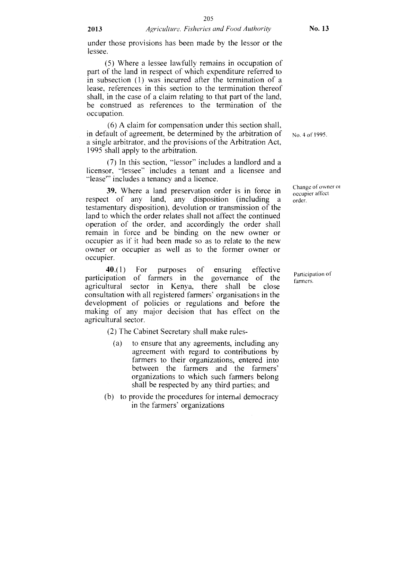under those provisions has been made by the lessor or the lessee.

(5) Where a lessee lawfully remains in occupation of part of the land in respect of which expenditure referred to in subsection (1) was incurred after the termination of a lease, references in this section to the termination thereof shall, in the case of a claim relating to that part of the land, be construed as references to the termination of the occupation.

(6) A claim for compensation under this section shall, in default of agreement, be determined by the arbitration of  $_{\text{No. 4 of 1995}}$ . a single arbitrator, and the provisions of the Arbitration Act, 1995 shall apply to the arbitration.

 $(7)$  In this section, "lessor" includes a landlord and a licensor, "lessee" includes a tenant and a licensee and lease"' includes a tenancy and a licence.

**39.** Where a land preservation order is in force in Change of owner or respect of any land, any disposition (including a order. testamentary disposition), devolution or transmission of the land to which the order relates shall not affect the continued operation of the order, and accordingly the order shall remain in force and be binding on the new owner or occupier as if it had been made so as to relate to the new owner or occupier as well as to the former owner or occupier.

**40.(1)** For purposes of ensuring effective participation of farmers in the governance of the agricultural sector in Kenya, there shall be close consultation with all registered farmers' organisations in the development of policies or regulations and before the making of any major decision that has effect on the agricultural sector.

(2) The Cabinet Secretary shall make rules-

- (a) to ensure that any agreements, including any agreement with regard to contributions by farmers to their organizations, entered into between the farmers and the farmers' organizations to which such farmers belong shall be respected by any third parties; and
- (b) to provide the procedures for internal democracy in the farmers' organizations

Participation of farmers.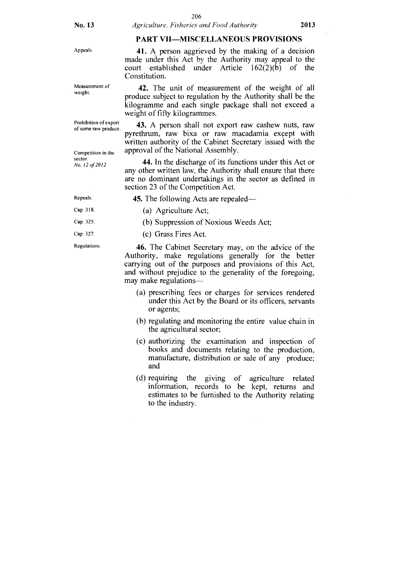#### **PART VII—MISCELLANEOUS PROVISIONS**

made under this Act by the Authority may appeal to the court established under Article 162(2)(b) of the

Appeals. **41.** A person aggrieved by the making of a decision

Measurement of weight.

Prohibition of export of some raw produce

Competition in the

sector. *No. /2 of 2012*  Constitution. **42.** The unit of measurement of the weight of all produce subject to regulation by the Authority shall be the kilogramme and each single package shall not exceed a weight of fifty kilogrammes.

**43.** A person shall not export raw cashew nuts, raw pyrethrum, raw bixa or raw macadamia except with written authority of the Cabinet Secretary issued with the approval of the National Assembly.

**44.** In the discharge of its functions under this Act or any other written law, the Authority shall ensure that there are no dominant undertakings in the sector as defined in section 23 of the Competition Act.

Repeals. Cap. 318.

Cap. 325.

Cap. 327.

Regulations.

**45.** The following Acts are repealed—

- (a) Agriculture Act;
- (b) Suppression of Noxious Weeds Act;
- (c) Grass Fires Act.

**46.** The Cabinet Secretary may, on the advice of the Authority, make regulations generally for the better carrying out of the purposes and provisions of this Act, and without prejudice to the generality of the foregoing, may make regulations—

- (a) prescribing fees or charges for services rendered under this Act by the Board or its officers, servants or agents;
- (b) regulating and monitoring the entire value chain in the agricultural sector;
- (c) authorizing the examination and inspection of books and documents relating to the production, manufacture, distribution or sale of any produce; and
- (d) requiring the giving of agriculture related information, records to be kept, returns and estimates to be furnished to the Authority relating to the industry.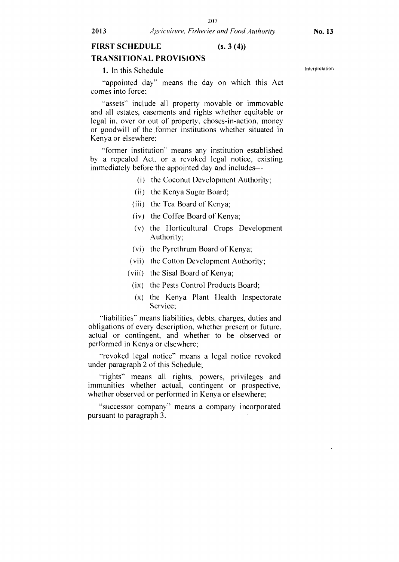#### **TRANSITIONAL PROVISIONS**

**1.** In this Schedule—

"appointed day" means the day on which this Act comes into force;

"assets" include all property movable or immovable and all estates, easements and rights whether equitable or legal in, over or out of property, choses-in-action, money or goodwill of the former institutions whether situated in Kenya or elsewhere;

"former institution" means any institution established by a repealed Act, or a revoked legal notice, existing immediately before the appointed day and includes—

- (1) the Coconut Development Authority;
- (ii) the Kenya Sugar Board;
- (iii) the Tea Board of Kenya;
- (iv) the Coffee Board of Kenya;
- (v) the Horticultural Crops Development Authority;
- (vi) the Pyrethrum Board of Kenya;
- (vii) the Cotton Development Authority;
- (viii) the Sisal Board of Kenya;
- (ix) the Pests Control Products Board;
- (x) the Kenya Plant Health Inspectorate Service;

"liabilities" means liabilities, debts, charges, duties and obligations of every description, whether present or future, actual or contingent, and whether to be observed or performed in Kenya or elsewhere;

"revoked legal notice" means a legal notice revoked under paragraph 2 of this Schedule;

-rights" means all rights, powers, privileges and immunities whether actual, contingent or prospective, whether observed or performed in Kenya or elsewhere;

"successor company" means a company incorporated pursuant to paragraph 3.

Interpretation.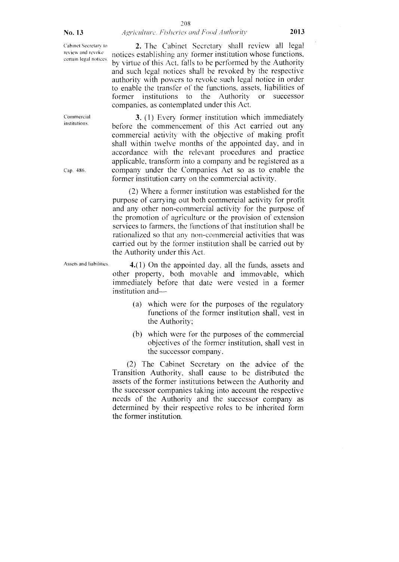#### **No. 13** *Agriculture. Fisheries and Food Authority* **2013**

Cabinet Secretary to review and revoke certain legal notices.

Commercial institutions.

Cap. 486.

2. The Cabinet Secretary shall review all legal notices establishing any former institution whose functions, by virtue of this Act. falls to be performed by the Authority and such legal notices shall be revoked by the respective authority with powers to revoke such legal notice in order to enable the transfer of the functions, assets, liabilities of former institutions to the Authority or successor companies, as contemplated under this Act.

3. (1) Every former institution which immediately before the commencement of this Act carried out any commercial activity with the objective of making profit shall within twelve months of the appointed day, and in accordance with the relevant procedures and practice applicable, transform into a company and be registered as a company under the Companies Act so as to enable the former institution carry on the commercial activity.

(2) Where a former institution was established for the purpose of carrying out both commercial activity for profit and any other non-commercial activity for the purpose of the promotion of agriculture or the provision of extension services to farmers, the functions of that institution shall be rationalized so that any non-commercial activities that was carried out by the former institution shall be carried out by the Authority under this Act.

Assets and liabilities.  $\mathbf{4.}(1)$  On the appointed day, all the funds, assets and other property, both movable and immovable, which immediately before that date were vested in a former institution and—

- (a) which were for the purposes of the regulatory functions of the former institution shall, vest in the Authority;
- (b) which were for the purposes of the commercial objectives of the former institution, shall vest in the successor company.

(2) The Cabinet Secretary on the advice of the Transition Authority, shall cause to be distributed the assets of the former institutions between the Authority and the successor companies taking into account the respective needs of the Authority and the successor company as determined by their respective roles to be inherited form the former institution.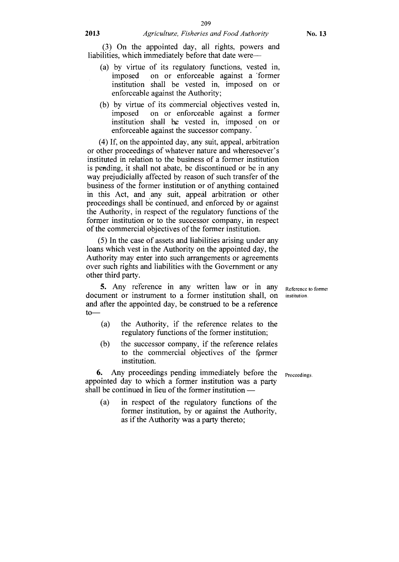# **2013** *Agriculture, Fisheries and Food Authority*

(3) On the appointed day, all rights, powers and liabilities, which immediately before that date were—

- (a) by virtue of its regulatory functions, vested in, imposed on or enforceable against a 'former institution shall be vested in, imposed on or enforceable against the Authority;
- (b) by virtue of its commercial objectives vested in, imposed on or enforceable against a former institution shall be vested in, imposed on or enforceable against the successor company.

(4) If, on the appointed day, any suit, appeal, arbitration or other proceedings of whatever nature and wheresoever's instituted in relation to the business of a former institution is pending, it shall not abate, be discontinued or be in any way prejudicially affected by reason of such transfer of the business of the former institution or of anything contained in this Act, and any suit, appeal arbitration or other proceedings shall be continued, and enforced by or against the Authority, in respect of the regulatory functions of the former institution or to the successor company, in respect of the commercial objectives of the former institution.

(5) In the case of assets and liabilities arising under any loans which vest in the Authority on the appointed day, the Authority may enter into such arrangements or agreements over such rights and liabilities with the Government or any other third party.

**5.** Any reference in any written law or in any document or instrument to a former institution shall, on and after the appointed day, be construed to be a reference to—

- (a) the Authority, if the reference relates to the regulatory functions of the former institution;
- (b) the successor company, if the reference relates to the commercial objectives of the fprmer institution.

**6.** Any proceedings pending immediately before the <sub>Proceedings.</sub> appointed day to which a former institution was a party shall be continued in lieu of the former institution —

(a) in respect of the regulatory functions of the former institution, by or against the Authority, as if the Authority was a party thereto;

institution.

Reference to former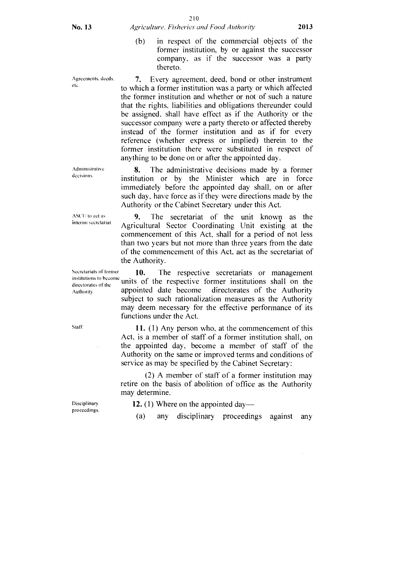Agreements. deeds. etc.

7. Every agreement, deed, bond or other instrument to which a former institution was a party or which affected the former institution and whether or not of such a nature that the rights, liabilities and obligations thereunder could be assigned, shall have effect as if the Authority or the successor company were a party thereto or affected thereby instead of the former institution and as if for every reference (whether express or implied) therein to the former institution there were substituted in respect of anything to be done on or after the appointed day.

8. The administrative decisions made by a former institution or by the Minister which are in force immediately before the appointed day shall, on or after such day, have force as if they were directions made by the Authority or the Cabinet Secretary under this Act.

9. The secretariat of the unit known as the Agricultural Sector Coordinating Unit existing at the commencement of this Act, shall for a period of not less than two years but not more than three years from the date of the commencement of this Act, act as the secretariat of the Authority.

Secretariats of former 10. The respective secretariats or management institutions to become  $\frac{1}{\text{dislations of the}}$  units of the respective former institutions shall on the  $\frac{1}{\text{Subtority}}$  appointed date become directorates of the Authority Authority. appointed date become directorates of the Authority subject to such rationalization measures as the Authority may deem necessary for the effective performance of its functions under the Act.

> **11. (1)** Any person who, at the commencement of this Act, is a member of staff-of a former institution shall, on the appointed day, become a member of staff of the Authority on the same or improved terms and conditions of service as may be specified by the Cabinet Secretary:

> (2) A member of staff of a former institution may retire on the basis of abolition of office as the Authority may determine.

**12.** (1) Where on the appointed day—

(a) any disciplinary proceedings against any

Disciplinary proceedings.

Administrative decisions.

ASCU to act as interim secretariat.

Staff.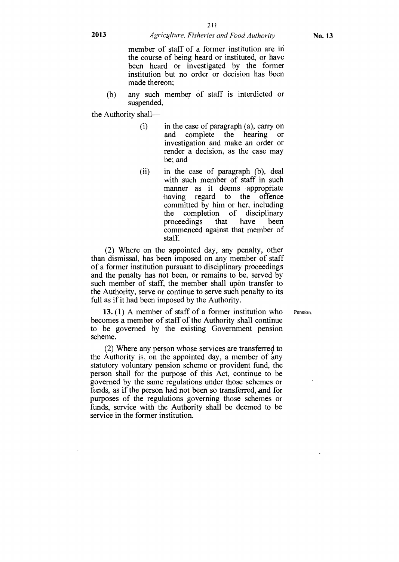#### **2013** *Agricklture, Fisheries and Food Authority*

member of staff of a former institution are in the course of being heard or instituted, or have been heard or investigated by the former institution but no order or decision has been made thereon;

(b) any such member of staff is interdicted or suspended,

the Authority shall—

- in the case of paragraph (a), carry on and complete the hearing or investigation and make an order or render a decision, as the case may be; and (i)
- (ii) in the case of paragraph (b), deal with such member of staff in such manner as it deems appropriate having regard to the offence committed by him or her, including the completion of disciplinary<br>proceedings that have been proceedings that have been commenced against that member of staff.

(2) Where on the appointed day, any penalty, other than dismissal, has been imposed on any member of staff of a former institution pursuant to disciplinary proceedings and the penalty has not been, or remains to be, served by such member of staff, the member shall upon transfer to the Authority, serve or continue to serve such penalty to its full as if it had been imposed by the Authority.

Pension.

**13.** (1) A member of staff of a former institution who becomes a member of staff of the Authority shall continue to be governed by the existing Government pension scheme.

(2) Where any person whose services are transferred to the Authority is, on the appointed day, a member of any statutory voluntary pension scheme or provident fund, the person shall for the purpose of this Act, continue to be governed by the same regulations under those schemes or funds, as if the person had not been so transferred, and for purposes of the regulations governing those schemes or funds, service with the Authority shall be deemed to be service in the former institution.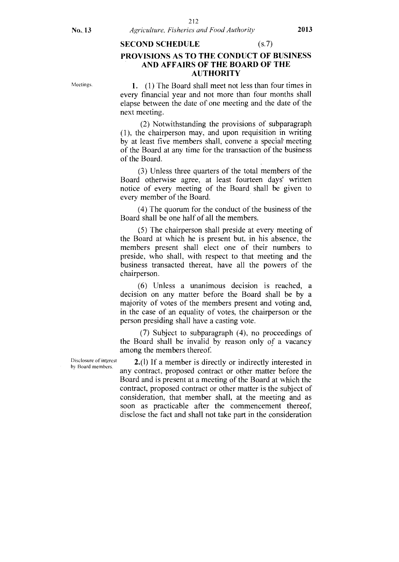#### SECOND SCHEDULE (s.7)

# PROVISIONS AS TO THE CONDUCT OF BUSINESS AND AFFAIRS OF THE BOARD OF THE AUTHORITY

**Meetings** 

1. (1) The Board shall meet not less than four times in every financial year and not more than four months shall elapse between the date of one meeting and the date of the next meeting.

(2) Notwithstanding the provisions of subparagraph (1), the chairperson may, and upon requisition in writing by at least five members shall, convene a special' meeting of the Board at any time for the transaction of the business of the Board.

(3) Unless three quarters of the total members of the Board otherwise agree, at least fourteen days' written notice of every meeting of the Board shall be given to every member of the Board.

(4) The quorum for the conduct of the business of the Board shall be one half of all the members.

(5) The chairperson shall preside at every meeting of the Board at which he is present but, in his absence, the members present shall elect one of their numbers to preside, Who shall, with respect to that meeting and the business transacted thereat, have all the powers of the chairperson.

(6) Unless a unanimous decision is reached, a decision on any matter before the Board shall be by a majority of votes of the members present and voting and, in the case of an equality of votes, the chairperson or the person presiding shall have a casting vote.

(7) Subject to subparagraph (4), no proceedings of the Board shall be invalid by reason only of a vacancy among the members thereof.

Disclosure of interest by Board members.

2.(1) If a member is directly or indirectly interested in any contract, proposed contract or other matter before the Board and is present at a meeting of the Board at which the contract, proposed contract or other matter is the subject of consideration, that member shall, at the meeting and as soon as practicable after the commencement thereof, disclose the fact and shall not take part in the consideration